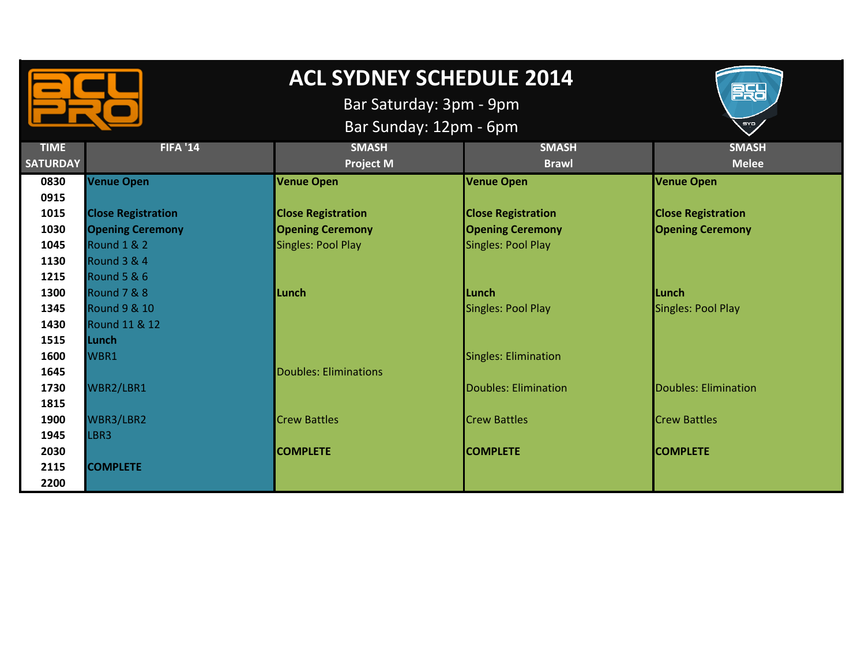

## **ACL SYDNEY SCHEDULE 2014**

Bar Saturday: 3pm - 9pm

BSB

**EYP** 

Bar Sunday: 12pm - 6pm

| <b>TIME</b>     | <b>FIFA '14</b>           | <b>SMASH</b>              | <b>SMASH</b>                | <b>SMASH</b>              |
|-----------------|---------------------------|---------------------------|-----------------------------|---------------------------|
| <b>SATURDAY</b> |                           | <b>Project M</b>          | <b>Brawl</b>                | <b>Melee</b>              |
| 0830            | <b>Venue Open</b>         | <b>Venue Open</b>         | <b>Venue Open</b>           | <b>Venue Open</b>         |
| 0915            |                           |                           |                             |                           |
| 1015            | <b>Close Registration</b> | <b>Close Registration</b> | <b>Close Registration</b>   | <b>Close Registration</b> |
| 1030            | <b>Opening Ceremony</b>   | <b>Opening Ceremony</b>   | <b>Opening Ceremony</b>     | <b>Opening Ceremony</b>   |
| 1045            | Round 1 & 2               | Singles: Pool Play        | Singles: Pool Play          |                           |
| 1130            | <b>Round 3 &amp; 4</b>    |                           |                             |                           |
| 1215            | <b>Round 5 &amp; 6</b>    |                           |                             |                           |
| 1300            | Round 7 & 8               | Lunch                     | Lunch                       | Lunch                     |
| 1345            | <b>Round 9 &amp; 10</b>   |                           | Singles: Pool Play          | <b>Singles: Pool Play</b> |
| 1430            | <b>Round 11 &amp; 12</b>  |                           |                             |                           |
| 1515            | Lunch                     |                           |                             |                           |
| 1600            | WBR1                      |                           | Singles: Elimination        |                           |
| 1645            |                           | Doubles: Eliminations     |                             |                           |
| 1730            | WBR2/LBR1                 |                           | <b>Doubles: Elimination</b> | Doubles: Elimination      |
| 1815            |                           |                           |                             |                           |
| 1900            | WBR3/LBR2                 | <b>Crew Battles</b>       | <b>Crew Battles</b>         | <b>Crew Battles</b>       |
| 1945            | LBR3                      |                           |                             |                           |
| 2030            |                           | <b>COMPLETE</b>           | <b>COMPLETE</b>             | <b>COMPLETE</b>           |
| 2115            | <b>COMPLETE</b>           |                           |                             |                           |
| 2200            |                           |                           |                             |                           |